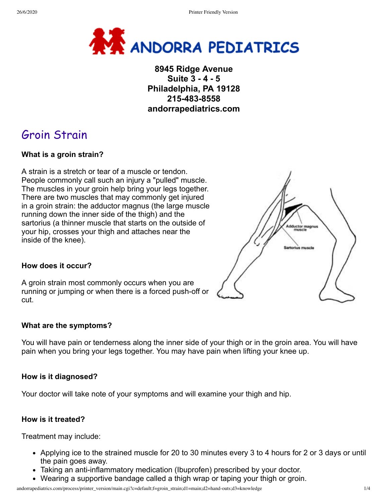

## **8945 Ridge Avenue Suite 3 - 4 - 5 Philadelphia, PA 19128 215-483-8558 andorrapediatrics.com**

# Groin Strain

### **What is a groin strain?**

A strain is a stretch or tear of a muscle or tendon. People commonly call such an injury a "pulled" muscle. The muscles in your groin help bring your legs together. There are two muscles that may commonly get injured in a groin strain: the adductor magnus (the large muscle running down the inner side of the thigh) and the sartorius (a thinner muscle that starts on the outside of your hip, crosses your thigh and attaches near the inside of the knee).



#### **How does it occur?**

A groin strain most commonly occurs when you are running or jumping or when there is a forced push-off or cut.

#### **What are the symptoms?**

You will have pain or tenderness along the inner side of your thigh or in the groin area. You will have pain when you bring your legs together. You may have pain when lifting your knee up.

#### **How is it diagnosed?**

Your doctor will take note of your symptoms and will examine your thigh and hip.

#### **How is it treated?**

Treatment may include:

- Applying ice to the strained muscle for 20 to 30 minutes every 3 to 4 hours for 2 or 3 days or until the pain goes away.
- Taking an anti-inflammatory medication (Ibuprofen) prescribed by your doctor.
- Wearing a supportive bandage called a thigh wrap or taping your thigh or groin.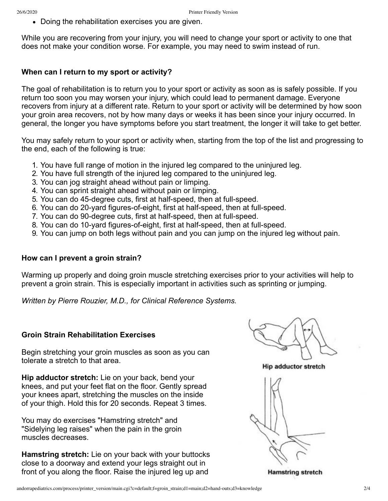Doing the rehabilitation exercises you are given.

While you are recovering from your injury, you will need to change your sport or activity to one that does not make your condition worse. For example, you may need to swim instead of run.

#### **When can I return to my sport or activity?**

The goal of rehabilitation is to return you to your sport or activity as soon as is safely possible. If you return too soon you may worsen your injury, which could lead to permanent damage. Everyone recovers from injury at a different rate. Return to your sport or activity will be determined by how soon your groin area recovers, not by how many days or weeks it has been since your injury occurred. In general, the longer you have symptoms before you start treatment, the longer it will take to get better.

You may safely return to your sport or activity when, starting from the top of the list and progressing to the end, each of the following is true:

- 1. You have full range of motion in the injured leg compared to the uninjured leg.
- 2. You have full strength of the injured leg compared to the uninjured leg.
- 3. You can jog straight ahead without pain or limping.
- 4. You can sprint straight ahead without pain or limping.
- 5. You can do 45-degree cuts, first at half-speed, then at full-speed.
- 6. You can do 20-yard figures-of-eight, first at half-speed, then at full-speed.
- 7. You can do 90-degree cuts, first at half-speed, then at full-speed.
- 8. You can do 10-yard figures-of-eight, first at half-speed, then at full-speed.
- 9. You can jump on both legs without pain and you can jump on the injured leg without pain.

#### **How can I prevent a groin strain?**

Warming up properly and doing groin muscle stretching exercises prior to your activities will help to prevent a groin strain. This is especially important in activities such as sprinting or jumping.

*Written by Pierre Rouzier, M.D., for Clinical Reference Systems.*

#### **Groin Strain Rehabilitation Exercises**

Begin stretching your groin muscles as soon as you can tolerate a stretch to that area.

**Hip adductor stretch:** Lie on your back, bend your knees, and put your feet flat on the floor. Gently spread your knees apart, stretching the muscles on the inside of your thigh. Hold this for 20 seconds. Repeat 3 times.

You may do exercises "Hamstring stretch" and "Sidelying leg raises" when the pain in the groin muscles decreases.

**Hamstring stretch:** Lie on your back with your buttocks close to a doorway and extend your legs straight out in front of you along the floor. Raise the injured leg up and

**Hip adductor stretch** 



**Hamstring stretch**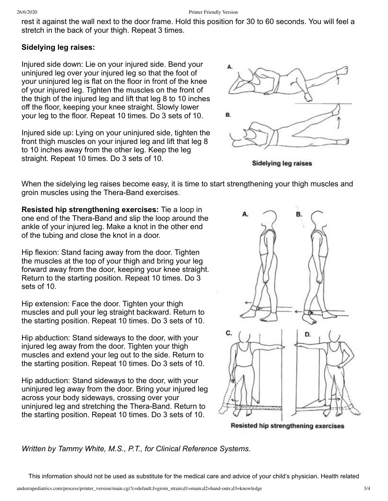rest it against the wall next to the door frame. Hold this position for 30 to 60 seconds. You will feel a stretch in the back of your thigh. Repeat 3 times.

### **Sidelying leg raises:**

Injured side down: Lie on your injured side. Bend your uninjured leg over your injured leg so that the foot of your uninjured leg is flat on the floor in front of the knee of your injured leg. Tighten the muscles on the front of the thigh of the injured leg and lift that leg 8 to 10 inches off the floor, keeping your knee straight. Slowly lower your leg to the floor. Repeat 10 times. Do 3 sets of 10.

Injured side up: Lying on your uninjured side, tighten the front thigh muscles on your injured leg and lift that leg 8 to 10 inches away from the other leg. Keep the leg straight. Repeat 10 times. Do 3 sets of 10.



**Sidelying leg raises** 

When the sidelying leg raises become easy, it is time to start strengthening your thigh muscles and groin muscles using the Thera-Band exercises.

**Resisted hip strengthening exercises:** Tie a loop in one end of the Thera-Band and slip the loop around the ankle of your injured leg. Make a knot in the other end of the tubing and close the knot in a door.

Hip flexion: Stand facing away from the door. Tighten the muscles at the top of your thigh and bring your leg forward away from the door, keeping your knee straight. Return to the starting position. Repeat 10 times. Do 3 sets of 10.

Hip extension: Face the door. Tighten your thigh muscles and pull your leg straight backward. Return to the starting position. Repeat 10 times. Do 3 sets of 10.

Hip abduction: Stand sideways to the door, with your injured leg away from the door. Tighten your thigh muscles and extend your leg out to the side. Return to the starting position. Repeat 10 times. Do 3 sets of 10.

Hip adduction: Stand sideways to the door, with your uninjured leg away from the door. Bring your injured leg across your body sideways, crossing over your uninjured leg and stretching the Thera-Band. Return to the starting position. Repeat 10 times. Do 3 sets of 10.



Resisted hip strengthening exercises

*Written by Tammy White, M.S., P.T., for Clinical Reference Systems.*

This information should not be used as substitute for the medical care and advice of your child's physician. Health related